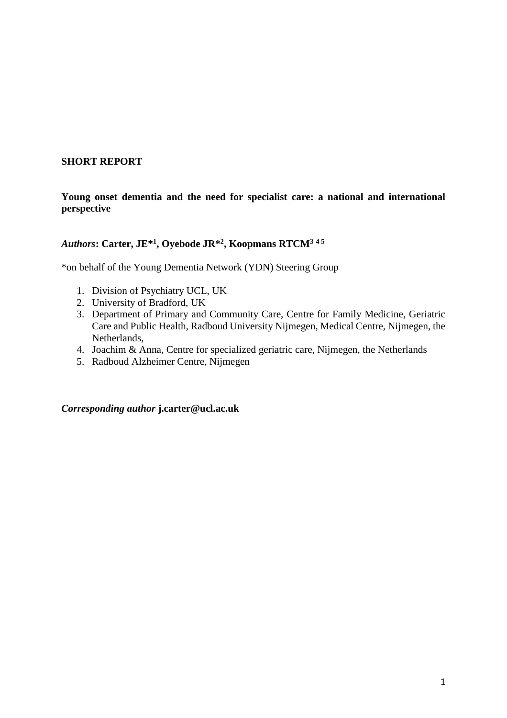### **SHORT REPORT**

## **Young onset dementia and the need for specialist care: a national and international perspective**

# *Authors***: Carter, JE\*<sup>1</sup> , Oyebode JR\*<sup>2</sup> , Koopmans RTCM<sup>3</sup> 4 5**

\*on behalf of the Young Dementia Network (YDN) Steering Group

- 1. Division of Psychiatry UCL, UK
- 2. University of Bradford, UK
- 3. Department of Primary and Community Care, Centre for Family Medicine, Geriatric Care and Public Health, Radboud University Nijmegen, Medical Centre, Nijmegen, the Netherlands,
- 4. Joachim & Anna, Centre for specialized geriatric care, Nijmegen, the Netherlands
- 5. Radboud Alzheimer Centre, Nijmegen

#### *Corresponding author* **j.carter@ucl.ac.uk**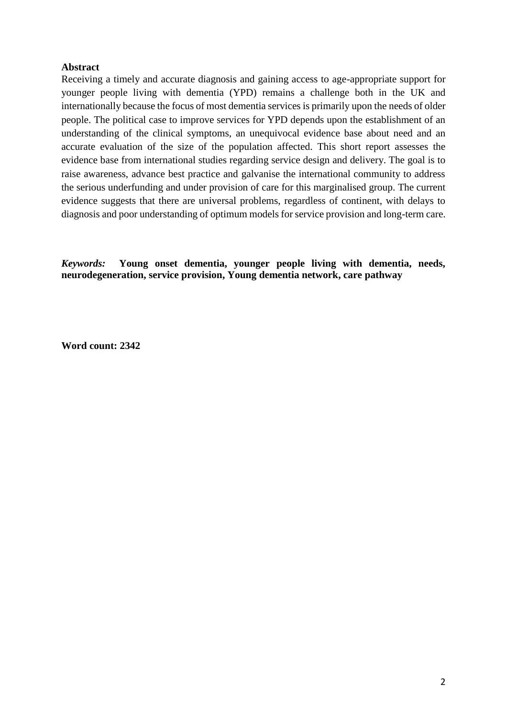### **Abstract**

Receiving a timely and accurate diagnosis and gaining access to age-appropriate support for younger people living with dementia (YPD) remains a challenge both in the UK and internationally because the focus of most dementia services is primarily upon the needs of older people. The political case to improve services for YPD depends upon the establishment of an understanding of the clinical symptoms, an unequivocal evidence base about need and an accurate evaluation of the size of the population affected. This short report assesses the evidence base from international studies regarding service design and delivery. The goal is to raise awareness, advance best practice and galvanise the international community to address the serious underfunding and under provision of care for this marginalised group. The current evidence suggests that there are universal problems, regardless of continent, with delays to diagnosis and poor understanding of optimum models for service provision and long-term care.

*Keywords:* **Young onset dementia, younger people living with dementia, needs, neurodegeneration, service provision, Young dementia network, care pathway** 

**Word count: 2342**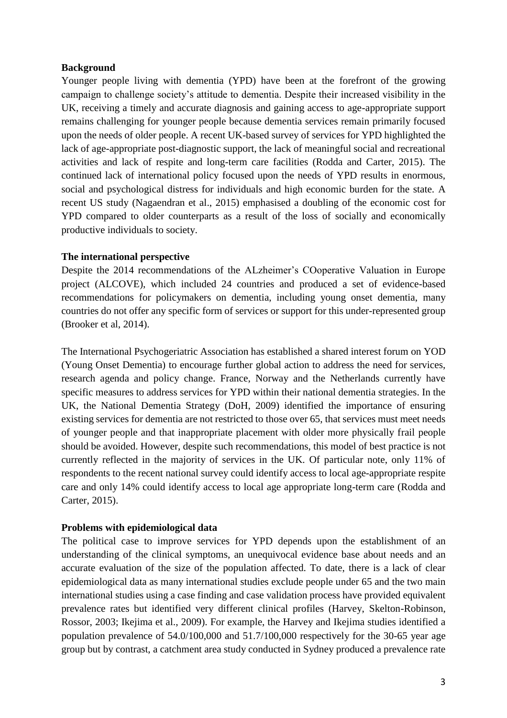### **Background**

Younger people living with dementia (YPD) have been at the forefront of the growing campaign to challenge society's attitude to dementia. Despite their increased visibility in the UK, receiving a timely and accurate diagnosis and gaining access to age-appropriate support remains challenging for younger people because dementia services remain primarily focused upon the needs of older people. A recent UK-based survey of services for YPD highlighted the lack of age-appropriate post-diagnostic support, the lack of meaningful social and recreational activities and lack of respite and long-term care facilities (Rodda and Carter, 2015). The continued lack of international policy focused upon the needs of YPD results in enormous, social and psychological distress for individuals and high economic burden for the state. A recent US study (Nagaendran et al., 2015) emphasised a doubling of the economic cost for YPD compared to older counterparts as a result of the loss of socially and economically productive individuals to society.

### **The international perspective**

Despite the 2014 recommendations of the ALzheimer's COoperative Valuation in Europe project (ALCOVE), which included 24 countries and produced a set of evidence-based recommendations for policymakers on dementia, including young onset dementia, many countries do not offer any specific form of services or support for this under-represented group (Brooker et al, 2014).

The International Psychogeriatric Association has established a shared interest forum on YOD (Young Onset Dementia) to encourage further global action to address the need for services, research agenda and policy change. France, Norway and the Netherlands currently have specific measures to address services for YPD within their national dementia strategies. In the UK, the National Dementia Strategy (DoH, 2009) identified the importance of ensuring existing services for dementia are not restricted to those over 65, that services must meet needs of younger people and that inappropriate placement with older more physically frail people should be avoided. However, despite such recommendations, this model of best practice is not currently reflected in the majority of services in the UK. Of particular note, only 11% of respondents to the recent national survey could identify access to local age-appropriate respite care and only 14% could identify access to local age appropriate long-term care (Rodda and Carter, 2015).

## **Problems with epidemiological data**

The political case to improve services for YPD depends upon the establishment of an understanding of the clinical symptoms, an unequivocal evidence base about needs and an accurate evaluation of the size of the population affected. To date, there is a lack of clear epidemiological data as many international studies exclude people under 65 and the two main international studies using a case finding and case validation process have provided equivalent prevalence rates but identified very different clinical profiles (Harvey, Skelton-Robinson, Rossor, 2003; Ikejima et al., 2009). For example, the Harvey and Ikejima studies identified a population prevalence of 54.0/100,000 and 51.7/100,000 respectively for the 30-65 year age group but by contrast, a catchment area study conducted in Sydney produced a prevalence rate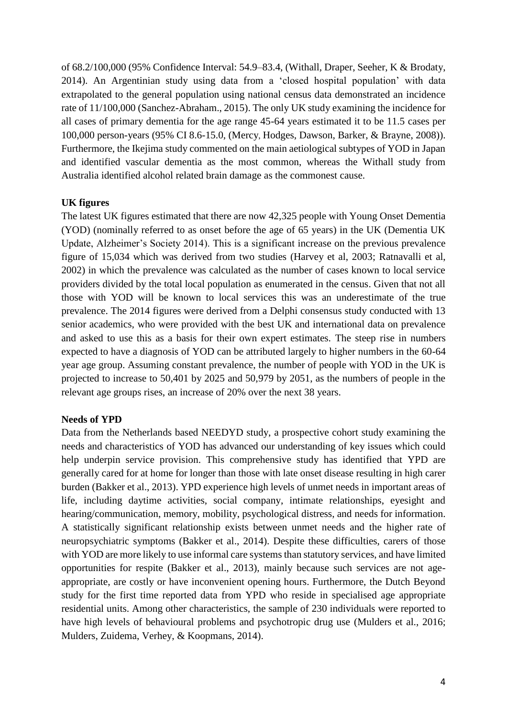of 68.2/100,000 (95% Confidence Interval: 54.9–83.4, (Withall, Draper, Seeher, K & Brodaty, 2014). An Argentinian study using data from a 'closed hospital population' with data extrapolated to the general population using national census data demonstrated an incidence rate of 11/100,000 (Sanchez-Abraham., 2015). The only UK study examining the incidence for all cases of primary dementia for the age range 45-64 years estimated it to be 11.5 cases per 100,000 person-years (95% CI 8.6-15.0, (Mercy, Hodges, Dawson, Barker, & Brayne, 2008)). Furthermore, the Ikejima study commented on the main aetiological subtypes of YOD in Japan and identified vascular dementia as the most common, whereas the Withall study from Australia identified alcohol related brain damage as the commonest cause.

### **UK figures**

The latest UK figures estimated that there are now 42,325 people with Young Onset Dementia (YOD) (nominally referred to as onset before the age of 65 years) in the UK (Dementia UK Update, Alzheimer's Society 2014). This is a significant increase on the previous prevalence figure of 15,034 which was derived from two studies (Harvey et al, 2003; Ratnavalli et al, 2002) in which the prevalence was calculated as the number of cases known to local service providers divided by the total local population as enumerated in the census. Given that not all those with YOD will be known to local services this was an underestimate of the true prevalence. The 2014 figures were derived from a Delphi consensus study conducted with 13 senior academics, who were provided with the best UK and international data on prevalence and asked to use this as a basis for their own expert estimates. The steep rise in numbers expected to have a diagnosis of YOD can be attributed largely to higher numbers in the 60-64 year age group. Assuming constant prevalence, the number of people with YOD in the UK is projected to increase to 50,401 by 2025 and 50,979 by 2051, as the numbers of people in the relevant age groups rises, an increase of 20% over the next 38 years.

### **Needs of YPD**

Data from the Netherlands based NEEDYD study, a prospective cohort study examining the needs and characteristics of YOD has advanced our understanding of key issues which could help underpin service provision. This comprehensive study has identified that YPD are generally cared for at home for longer than those with late onset disease resulting in high carer burden (Bakker et al., 2013). YPD experience high levels of unmet needs in important areas of life, including daytime activities, social company, intimate relationships, eyesight and hearing/communication, memory, mobility, psychological distress, and needs for information. A statistically significant relationship exists between unmet needs and the higher rate of neuropsychiatric symptoms (Bakker et al., 2014). Despite these difficulties, carers of those with YOD are more likely to use informal care systems than statutory services, and have limited opportunities for respite (Bakker et al., 2013), mainly because such services are not ageappropriate, are costly or have inconvenient opening hours. Furthermore, the Dutch Beyond study for the first time reported data from YPD who reside in specialised age appropriate residential units. Among other characteristics, the sample of 230 individuals were reported to have high levels of behavioural problems and psychotropic drug use (Mulders et al., 2016; Mulders, Zuidema, Verhey, & Koopmans, 2014).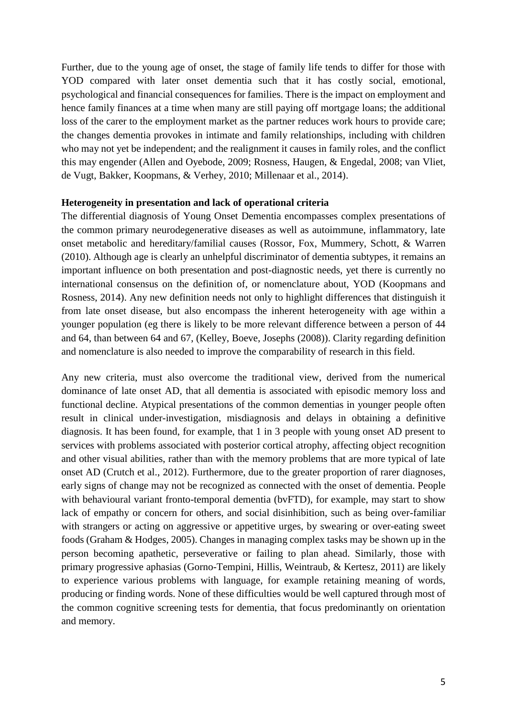Further, due to the young age of onset, the stage of family life tends to differ for those with YOD compared with later onset dementia such that it has costly social, emotional, psychological and financial consequences for families. There is the impact on employment and hence family finances at a time when many are still paying off mortgage loans; the additional loss of the carer to the employment market as the partner reduces work hours to provide care; the changes dementia provokes in intimate and family relationships, including with children who may not yet be independent; and the realignment it causes in family roles, and the conflict this may engender (Allen and Oyebode, 2009; Rosness, Haugen, & Engedal, 2008; van Vliet, de Vugt, Bakker, Koopmans, & Verhey, 2010; Millenaar et al., 2014).

#### **Heterogeneity in presentation and lack of operational criteria**

The differential diagnosis of Young Onset Dementia encompasses complex presentations of the common primary neurodegenerative diseases as well as autoimmune, inflammatory, late onset metabolic and hereditary/familial causes (Rossor, Fox, Mummery, Schott, & Warren (2010). Although age is clearly an unhelpful discriminator of dementia subtypes, it remains an important influence on both presentation and post-diagnostic needs, yet there is currently no international consensus on the definition of, or nomenclature about, YOD (Koopmans and Rosness, 2014). Any new definition needs not only to highlight differences that distinguish it from late onset disease, but also encompass the inherent heterogeneity with age within a younger population (eg there is likely to be more relevant difference between a person of 44 and 64, than between 64 and 67, (Kelley, Boeve, Josephs (2008)). Clarity regarding definition and nomenclature is also needed to improve the comparability of research in this field.

Any new criteria, must also overcome the traditional view, derived from the numerical dominance of late onset AD, that all dementia is associated with episodic memory loss and functional decline. Atypical presentations of the common dementias in younger people often result in clinical under-investigation, misdiagnosis and delays in obtaining a definitive diagnosis. It has been found, for example, that 1 in 3 people with young onset AD present to services with problems associated with posterior cortical atrophy, affecting object recognition and other visual abilities, rather than with the memory problems that are more typical of late onset AD (Crutch et al., 2012). Furthermore, due to the greater proportion of rarer diagnoses, early signs of change may not be recognized as connected with the onset of dementia. People with behavioural variant fronto-temporal dementia (bvFTD), for example, may start to show lack of empathy or concern for others, and social disinhibition, such as being over-familiar with strangers or acting on aggressive or appetitive urges, by swearing or over-eating sweet foods (Graham & Hodges, 2005). Changes in managing complex tasks may be shown up in the person becoming apathetic, perseverative or failing to plan ahead. Similarly, those with primary progressive aphasias (Gorno-Tempini, Hillis, Weintraub, & Kertesz, 2011) are likely to experience various problems with language, for example retaining meaning of words, producing or finding words. None of these difficulties would be well captured through most of the common cognitive screening tests for dementia, that focus predominantly on orientation and memory.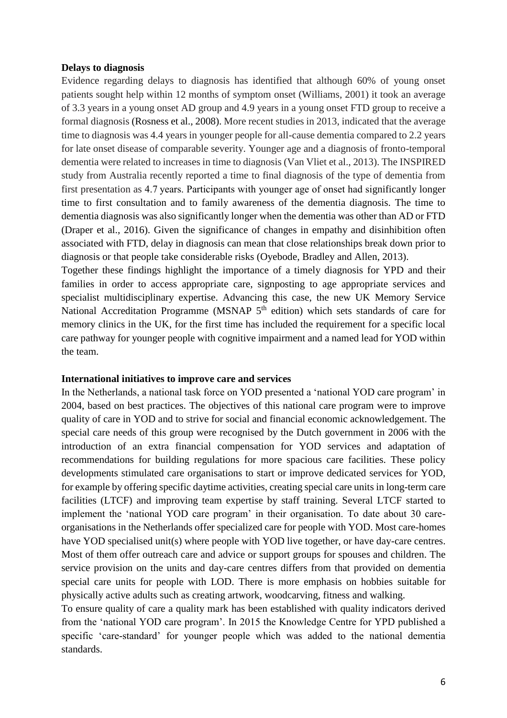#### **Delays to diagnosis**

Evidence regarding delays to diagnosis has identified that although 60% of young onset patients sought help within 12 months of symptom onset (Williams, 2001) it took an average of 3.3 years in a young onset AD group and 4.9 years in a young onset FTD group to receive a formal diagnosis (Rosness et al., 2008). More recent studies in 2013, indicated that the average time to diagnosis was 4.4 years in younger people for all-cause dementia compared to 2.2 years for late onset disease of comparable severity. Younger age and a diagnosis of fronto-temporal dementia were related to increases in time to diagnosis (Van Vliet et al., 2013). The INSPIRED study from Australia recently reported a time to final diagnosis of the type of dementia from first presentation as 4.7 years. Participants with younger age of onset had significantly longer time to first consultation and to family awareness of the dementia diagnosis. The time to dementia diagnosis was also significantly longer when the dementia was other than AD or FTD (Draper et al., 2016). Given the significance of changes in empathy and disinhibition often associated with FTD, delay in diagnosis can mean that close relationships break down prior to diagnosis or that people take considerable risks (Oyebode, Bradley and Allen, 2013).

Together these findings highlight the importance of a timely diagnosis for YPD and their families in order to access appropriate care, signposting to age appropriate services and specialist multidisciplinary expertise. Advancing this case, the new UK Memory Service National Accreditation Programme (MSNAP  $5<sup>th</sup>$  edition) which sets standards of care for memory clinics in the UK, for the first time has included the requirement for a specific local care pathway for younger people with cognitive impairment and a named lead for YOD within the team.

### **International initiatives to improve care and services**

In the Netherlands, a national task force on YOD presented a 'national YOD care program' in 2004, based on best practices. The objectives of this national care program were to improve quality of care in YOD and to strive for social and financial economic acknowledgement. The special care needs of this group were recognised by the Dutch government in 2006 with the introduction of an extra financial compensation for YOD services and adaptation of recommendations for building regulations for more spacious care facilities. These policy developments stimulated care organisations to start or improve dedicated services for YOD, for example by offering specific daytime activities, creating special care units in long-term care facilities (LTCF) and improving team expertise by staff training. Several LTCF started to implement the 'national YOD care program' in their organisation. To date about 30 careorganisations in the Netherlands offer specialized care for people with YOD. Most care-homes have YOD specialised unit(s) where people with YOD live together, or have day-care centres. Most of them offer outreach care and advice or support groups for spouses and children. The service provision on the units and day-care centres differs from that provided on dementia special care units for people with LOD. There is more emphasis on hobbies suitable for physically active adults such as creating artwork, woodcarving, fitness and walking.

To ensure quality of care a quality mark has been established with quality indicators derived from the 'national YOD care program'. In 2015 the Knowledge Centre for YPD published a specific 'care-standard' for younger people which was added to the national dementia standards.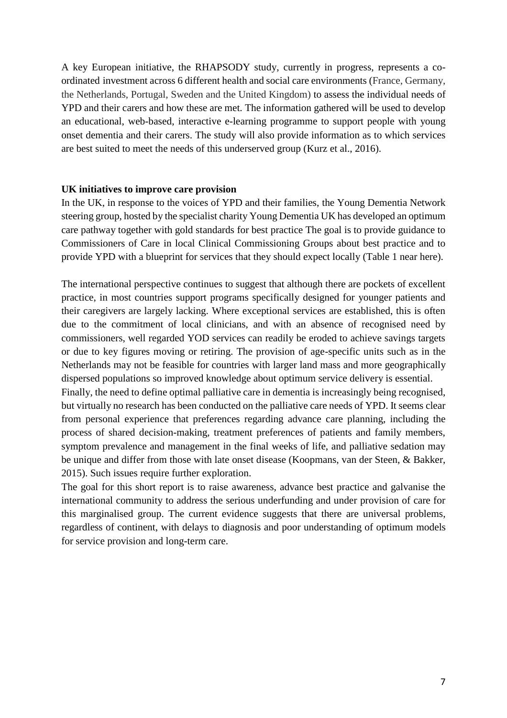A key European initiative, the RHAPSODY study, currently in progress, represents a coordinated investment across 6 different health and social care environments (France, Germany, the Netherlands, Portugal, Sweden and the United Kingdom) to assess the individual needs of YPD and their carers and how these are met. The information gathered will be used to develop an educational, web-based, interactive e-learning programme to support people with young onset dementia and their carers. The study will also provide information as to which services are best suited to meet the needs of this underserved group (Kurz et al., 2016).

#### **UK initiatives to improve care provision**

In the UK, in response to the voices of YPD and their families, the Young Dementia Network steering group, hosted by the specialist charity Young Dementia UK has developed an optimum care pathway together with gold standards for best practice The goal is to provide guidance to Commissioners of Care in local Clinical Commissioning Groups about best practice and to provide YPD with a blueprint for services that they should expect locally (Table 1 near here).

The international perspective continues to suggest that although there are pockets of excellent practice, in most countries support programs specifically designed for younger patients and their caregivers are largely lacking. Where exceptional services are established, this is often due to the commitment of local clinicians, and with an absence of recognised need by commissioners, well regarded YOD services can readily be eroded to achieve savings targets or due to key figures moving or retiring. The provision of age-specific units such as in the Netherlands may not be feasible for countries with larger land mass and more geographically dispersed populations so improved knowledge about optimum service delivery is essential.

Finally, the need to define optimal palliative care in dementia is increasingly being recognised, but virtually no research has been conducted on the palliative care needs of YPD. It seems clear from personal experience that preferences regarding advance care planning, including the process of shared decision-making, treatment preferences of patients and family members, symptom prevalence and management in the final weeks of life, and palliative sedation may be unique and differ from those with late onset disease (Koopmans, van der Steen, & Bakker, 2015). Such issues require further exploration.

The goal for this short report is to raise awareness, advance best practice and galvanise the international community to address the serious underfunding and under provision of care for this marginalised group. The current evidence suggests that there are universal problems, regardless of continent, with delays to diagnosis and poor understanding of optimum models for service provision and long-term care.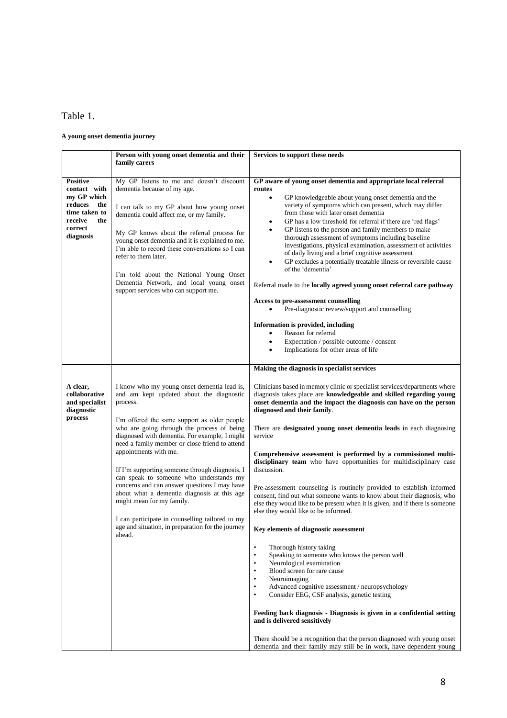#### Table 1.

#### **A young onset dementia journey**

|                                                                                                                             | Person with young onset dementia and their<br>family carers                                                                                                                                                                                                                                                                                                                                                                                                                                                       | Services to support these needs                                                                                                                                                                                                                                                                                                                                                                                                                                                                                                                                                                                                                                                                                                                                                                                                                                                                                                                                                                                                 |
|-----------------------------------------------------------------------------------------------------------------------------|-------------------------------------------------------------------------------------------------------------------------------------------------------------------------------------------------------------------------------------------------------------------------------------------------------------------------------------------------------------------------------------------------------------------------------------------------------------------------------------------------------------------|---------------------------------------------------------------------------------------------------------------------------------------------------------------------------------------------------------------------------------------------------------------------------------------------------------------------------------------------------------------------------------------------------------------------------------------------------------------------------------------------------------------------------------------------------------------------------------------------------------------------------------------------------------------------------------------------------------------------------------------------------------------------------------------------------------------------------------------------------------------------------------------------------------------------------------------------------------------------------------------------------------------------------------|
| <b>Positive</b><br>contact with<br>my GP which<br>reduces<br>the<br>time taken to<br>receive<br>the<br>correct<br>diagnosis | My GP listens to me and doesn't discount<br>dementia because of my age.<br>I can talk to my GP about how young onset<br>dementia could affect me, or my family.<br>My GP knows about the referral process for<br>young onset dementia and it is explained to me.<br>I'm able to record these conversations so I can<br>refer to them later.<br>I'm told about the National Young Onset<br>Dementia Network, and local young onset<br>support services who can support me.                                         | GP aware of young onset dementia and appropriate local referral<br>routes<br>GP knowledgeable about young onset dementia and the<br>$\bullet$<br>variety of symptoms which can present, which may differ<br>from those with later onset dementia<br>GP has a low threshold for referral if there are 'red flags'<br>$\bullet$<br>GP listens to the person and family members to make<br>$\bullet$<br>thorough assessment of symptoms including baseline<br>investigations, physical examination, assessment of activities<br>of daily living and a brief cognitive assessment<br>GP excludes a potentially treatable illness or reversible cause<br>$\bullet$<br>of the 'dementia'<br>Referral made to the locally agreed young onset referral care pathway<br>Access to pre-assessment counselling<br>Pre-diagnostic review/support and counselling<br>Information is provided, including<br>Reason for referral<br>Expectation / possible outcome / consent<br>$\bullet$<br>Implications for other areas of life<br>$\bullet$ |
|                                                                                                                             |                                                                                                                                                                                                                                                                                                                                                                                                                                                                                                                   | Making the diagnosis in specialist services                                                                                                                                                                                                                                                                                                                                                                                                                                                                                                                                                                                                                                                                                                                                                                                                                                                                                                                                                                                     |
| A clear,<br>collaborative<br>and specialist<br>diagnostic<br>process                                                        | I know who my young onset dementia lead is,<br>and am kept updated about the diagnostic<br>process.<br>I'm offered the same support as older people                                                                                                                                                                                                                                                                                                                                                               | Clinicians based in memory clinic or specialist services/departments where<br>diagnosis takes place are knowledgeable and skilled regarding young<br>onset dementia and the impact the diagnosis can have on the person<br>diagnosed and their family.                                                                                                                                                                                                                                                                                                                                                                                                                                                                                                                                                                                                                                                                                                                                                                          |
|                                                                                                                             | who are going through the process of being<br>diagnosed with dementia. For example, I might<br>need a family member or close friend to attend<br>appointments with me.<br>If I'm supporting someone through diagnosis, I<br>can speak to someone who understands my<br>concerns and can answer questions I may have<br>about what a dementia diagnosis at this age<br>might mean for my family.<br>I can participate in counselling tailored to my<br>age and situation, in preparation for the journey<br>ahead. | There are <b>designated young onset dementia leads</b> in each diagnosing<br>service                                                                                                                                                                                                                                                                                                                                                                                                                                                                                                                                                                                                                                                                                                                                                                                                                                                                                                                                            |
|                                                                                                                             |                                                                                                                                                                                                                                                                                                                                                                                                                                                                                                                   | Comprehensive assessment is performed by a commissioned multi-<br>disciplinary team who have opportunities for multidisciplinary case<br>discussion.                                                                                                                                                                                                                                                                                                                                                                                                                                                                                                                                                                                                                                                                                                                                                                                                                                                                            |
|                                                                                                                             |                                                                                                                                                                                                                                                                                                                                                                                                                                                                                                                   | Pre-assessment counseling is routinely provided to establish informed<br>consent, find out what someone wants to know about their diagnosis, who<br>else they would like to be present when it is given, and if there is someone<br>else they would like to be informed.                                                                                                                                                                                                                                                                                                                                                                                                                                                                                                                                                                                                                                                                                                                                                        |
|                                                                                                                             |                                                                                                                                                                                                                                                                                                                                                                                                                                                                                                                   | Key elements of diagnostic assessment                                                                                                                                                                                                                                                                                                                                                                                                                                                                                                                                                                                                                                                                                                                                                                                                                                                                                                                                                                                           |
|                                                                                                                             |                                                                                                                                                                                                                                                                                                                                                                                                                                                                                                                   | Thorough history taking<br>Speaking to someone who knows the person well<br>$\bullet$<br>Neurological examination<br>Blood screen for rare cause<br>Neuroimaging<br>Advanced cognitive assessment / neuropsychology<br>$\bullet$<br>Consider EEG, CSF analysis, genetic testing<br>$\bullet$<br>Feeding back diagnosis - Diagnosis is given in a confidential setting<br>and is delivered sensitively<br>There should be a recognition that the person diagnosed with young onset<br>dementia and their family may still be in work, have dependent young                                                                                                                                                                                                                                                                                                                                                                                                                                                                       |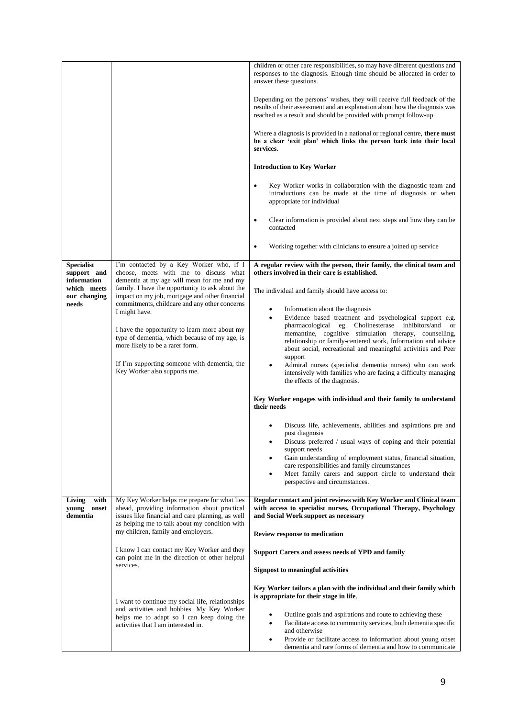| <b>Specialist</b><br>support and<br>information<br>which meets<br>our changing<br>needs | I'm contacted by a Key Worker who, if I<br>choose, meets with me to discuss what<br>dementia at my age will mean for me and my<br>family. I have the opportunity to ask about the<br>impact on my job, mortgage and other financial<br>commitments, childcare and any other concerns<br>I might have.<br>I have the opportunity to learn more about my<br>type of dementia, which because of my age, is<br>more likely to be a rarer form.<br>If I'm supporting someone with dementia, the<br>Key Worker also supports me. | children or other care responsibilities, so may have different questions and<br>responses to the diagnosis. Enough time should be allocated in order to<br>answer these questions.<br>Depending on the persons' wishes, they will receive full feedback of the<br>results of their assessment and an explanation about how the diagnosis was<br>reached as a result and should be provided with prompt follow-up<br>Where a diagnosis is provided in a national or regional centre, there must<br>be a clear 'exit plan' which links the person back into their local<br>services.<br><b>Introduction to Key Worker</b><br>Key Worker works in collaboration with the diagnostic team and<br>introductions can be made at the time of diagnosis or when<br>appropriate for individual<br>Clear information is provided about next steps and how they can be<br>$\bullet$<br>contacted<br>Working together with clinicians to ensure a joined up service<br>$\bullet$<br>A regular review with the person, their family, the clinical team and<br>others involved in their care is established.<br>The individual and family should have access to:<br>Information about the diagnosis<br>٠<br>Evidence based treatment and psychological support e.g.<br>٠<br>eg Cholinesterase inhibitors/and<br>pharmacological<br><b>or</b><br>memantine, cognitive stimulation therapy, counselling,<br>relationship or family-centered work, Information and advice<br>about social, recreational and meaningful activities and Peer<br>support<br>Admiral nurses (specialist dementia nurses) who can work<br>intensively with families who are facing a difficulty managing<br>the effects of the diagnosis.<br>Key Worker engages with individual and their family to understand<br>their needs<br>Discuss life, achievements, abilities and aspirations pre and |
|-----------------------------------------------------------------------------------------|----------------------------------------------------------------------------------------------------------------------------------------------------------------------------------------------------------------------------------------------------------------------------------------------------------------------------------------------------------------------------------------------------------------------------------------------------------------------------------------------------------------------------|----------------------------------------------------------------------------------------------------------------------------------------------------------------------------------------------------------------------------------------------------------------------------------------------------------------------------------------------------------------------------------------------------------------------------------------------------------------------------------------------------------------------------------------------------------------------------------------------------------------------------------------------------------------------------------------------------------------------------------------------------------------------------------------------------------------------------------------------------------------------------------------------------------------------------------------------------------------------------------------------------------------------------------------------------------------------------------------------------------------------------------------------------------------------------------------------------------------------------------------------------------------------------------------------------------------------------------------------------------------------------------------------------------------------------------------------------------------------------------------------------------------------------------------------------------------------------------------------------------------------------------------------------------------------------------------------------------------------------------------------------------------------------------------------------------------------------------------------------------|
|                                                                                         |                                                                                                                                                                                                                                                                                                                                                                                                                                                                                                                            | post diagnosis<br>Discuss preferred / usual ways of coping and their potential<br>support needs<br>Gain understanding of employment status, financial situation,<br>٠<br>care responsibilities and family circumstances<br>Meet family carers and support circle to understand their<br>$\bullet$<br>perspective and circumstances.                                                                                                                                                                                                                                                                                                                                                                                                                                                                                                                                                                                                                                                                                                                                                                                                                                                                                                                                                                                                                                                                                                                                                                                                                                                                                                                                                                                                                                                                                                                      |
| with<br>Living<br>young<br>onset                                                        | My Key Worker helps me prepare for what lies<br>ahead, providing information about practical                                                                                                                                                                                                                                                                                                                                                                                                                               | Regular contact and joint reviews with Key Worker and Clinical team<br>with access to specialist nurses, Occupational Therapy, Psychology                                                                                                                                                                                                                                                                                                                                                                                                                                                                                                                                                                                                                                                                                                                                                                                                                                                                                                                                                                                                                                                                                                                                                                                                                                                                                                                                                                                                                                                                                                                                                                                                                                                                                                                |
| dementia                                                                                | issues like financial and care planning, as well<br>as helping me to talk about my condition with                                                                                                                                                                                                                                                                                                                                                                                                                          | and Social Work support as necessary                                                                                                                                                                                                                                                                                                                                                                                                                                                                                                                                                                                                                                                                                                                                                                                                                                                                                                                                                                                                                                                                                                                                                                                                                                                                                                                                                                                                                                                                                                                                                                                                                                                                                                                                                                                                                     |
|                                                                                         | my children, family and employers.<br>I know I can contact my Key Worker and they                                                                                                                                                                                                                                                                                                                                                                                                                                          | <b>Review response to medication</b><br>Support Carers and assess needs of YPD and family                                                                                                                                                                                                                                                                                                                                                                                                                                                                                                                                                                                                                                                                                                                                                                                                                                                                                                                                                                                                                                                                                                                                                                                                                                                                                                                                                                                                                                                                                                                                                                                                                                                                                                                                                                |
|                                                                                         | can point me in the direction of other helpful<br>services.                                                                                                                                                                                                                                                                                                                                                                                                                                                                | <b>Signpost to meaningful activities</b>                                                                                                                                                                                                                                                                                                                                                                                                                                                                                                                                                                                                                                                                                                                                                                                                                                                                                                                                                                                                                                                                                                                                                                                                                                                                                                                                                                                                                                                                                                                                                                                                                                                                                                                                                                                                                 |
|                                                                                         | I want to continue my social life, relationships<br>and activities and hobbies. My Key Worker<br>helps me to adapt so I can keep doing the<br>activities that I am interested in.                                                                                                                                                                                                                                                                                                                                          | Key Worker tailors a plan with the individual and their family which<br>is appropriate for their stage in life.<br>Outline goals and aspirations and route to achieving these<br>Facilitate access to community services, both dementia specific<br>$\bullet$<br>and otherwise<br>Provide or facilitate access to information about young onset<br>$\bullet$<br>dementia and rare forms of dementia and how to communicate                                                                                                                                                                                                                                                                                                                                                                                                                                                                                                                                                                                                                                                                                                                                                                                                                                                                                                                                                                                                                                                                                                                                                                                                                                                                                                                                                                                                                               |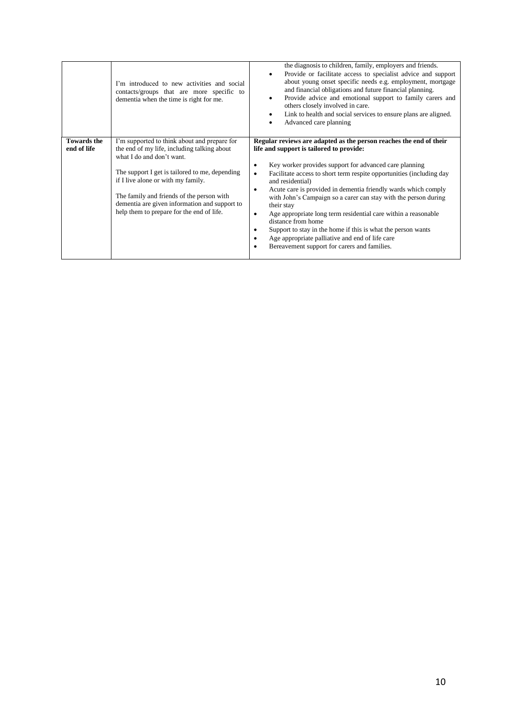|                                   | I'm introduced to new activities and social<br>contacts/groups that are more specific to<br>dementia when the time is right for me.                                                                                                                                                                                                                         | the diagnosis to children, family, employers and friends.<br>Provide or facilitate access to specialist advice and support<br>٠<br>about young onset specific needs e.g. employment, mortgage<br>and financial obligations and future financial planning.<br>Provide advice and emotional support to family carers and<br>٠<br>others closely involved in care.<br>Link to health and social services to ensure plans are aligned.<br>٠<br>Advanced care planning                                                                                                                                                                                                                                                                             |
|-----------------------------------|-------------------------------------------------------------------------------------------------------------------------------------------------------------------------------------------------------------------------------------------------------------------------------------------------------------------------------------------------------------|-----------------------------------------------------------------------------------------------------------------------------------------------------------------------------------------------------------------------------------------------------------------------------------------------------------------------------------------------------------------------------------------------------------------------------------------------------------------------------------------------------------------------------------------------------------------------------------------------------------------------------------------------------------------------------------------------------------------------------------------------|
| <b>Towards the</b><br>end of life | I'm supported to think about and prepare for<br>the end of my life, including talking about<br>what I do and don't want.<br>The support I get is tailored to me, depending<br>if I live alone or with my family.<br>The family and friends of the person with<br>dementia are given information and support to<br>help them to prepare for the end of life. | Regular reviews are adapted as the person reaches the end of their<br>life and support is tailored to provide:<br>Key worker provides support for advanced care planning<br>$\bullet$<br>Facilitate access to short term respite opportunities (including day<br>$\bullet$<br>and residential)<br>Acute care is provided in dementia friendly wards which comply<br>$\bullet$<br>with John's Campaign so a carer can stay with the person during<br>their stay<br>Age appropriate long term residential care within a reasonable<br>٠<br>distance from home<br>Support to stay in the home if this is what the person wants<br>٠<br>Age appropriate palliative and end of life care<br>٠<br>Bereavement support for carers and families.<br>٠ |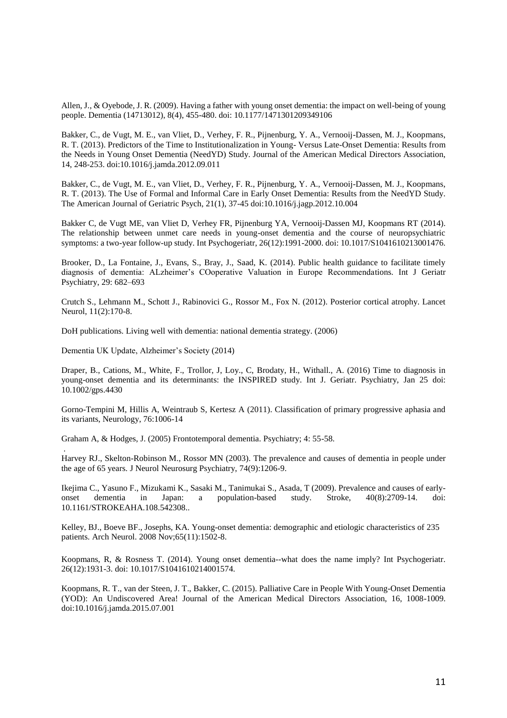Allen, J., & Oyebode, J. R. (2009). Having a father with young onset dementia: the impact on well-being of young people. Dementia (14713012), 8(4), 455-480. doi: 10.1177/1471301209349106

Bakker, C., de Vugt, M. E., van Vliet, D., Verhey, F. R., Pijnenburg, Y. A., Vernooij-Dassen, M. J., Koopmans, R. T. (2013). Predictors of the Time to Institutionalization in Young- Versus Late-Onset Dementia: Results from the Needs in Young Onset Dementia (NeedYD) Study. Journal of the American Medical Directors Association, 14, 248-253. doi:10.1016/j.jamda.2012.09.011

Bakker, C., de Vugt, M. E., van Vliet, D., Verhey, F. R., Pijnenburg, Y. A., Vernooij-Dassen, M. J., Koopmans, R. T. (2013). The Use of Formal and Informal Care in Early Onset Dementia: Results from the NeedYD Study. The American Journal of Geriatric Psych, 21(1), 37-45 doi:10.1016/j.jagp.2012.10.004

[Bakker C,](http://www.ncbi.nlm.nih.gov/pubmed/?term=Bakker%20C%5BAuthor%5D&cauthor=true&cauthor_uid=24001688) [de Vugt ME,](http://www.ncbi.nlm.nih.gov/pubmed/?term=de%20Vugt%20ME%5BAuthor%5D&cauthor=true&cauthor_uid=24001688) [van Vliet](http://www.ncbi.nlm.nih.gov/pubmed/?term=van%20Vliet%20D%5BAuthor%5D&cauthor=true&cauthor_uid=24001688) D, [Verhey FR,](http://www.ncbi.nlm.nih.gov/pubmed/?term=Verhey%20FR%5BAuthor%5D&cauthor=true&cauthor_uid=24001688) [Pijnenburg YA,](http://www.ncbi.nlm.nih.gov/pubmed/?term=Pijnenburg%20YA%5BAuthor%5D&cauthor=true&cauthor_uid=24001688) [Vernooij-Dassen MJ,](http://www.ncbi.nlm.nih.gov/pubmed/?term=Vernooij-Dassen%20MJ%5BAuthor%5D&cauthor=true&cauthor_uid=24001688) [Koopmans RT](http://www.ncbi.nlm.nih.gov/pubmed/?term=Koopmans%20RT%5BAuthor%5D&cauthor=true&cauthor_uid=24001688) (2014). The relationship between unmet care needs in young-onset dementia and the course of neuropsychiatric symptoms: a two-year follow-up study. Int Psychogeriatr, 26(12):1991-2000. doi: 10.1017/S1041610213001476.

Brooker, D., La Fontaine, J., Evans, S., Bray, J., Saad, K. (2014). Public health guidance to facilitate timely diagnosis of dementia: ALzheimer's COoperative Valuation in Europe Recommendations. Int J Geriatr Psychiatry, 29: 682–693

Crutch S., Lehmann M., Schott J., Rabinovici G., Rossor M., Fox N. (2012). Posterior cortical atrophy. Lancet Neurol, 11(2):170-8.

DoH publications. Living well with dementia: national dementia strategy. (2006)

Dementia UK Update, Alzheimer's Society (2014)

.

Draper, B., Cations, M., White, F., Trollor, J, Loy., C, Brodaty, H., Withall., A. (2016) Time to diagnosis in young-onset dementia and its determinants: the INSPIRED study. Int J. Geriatr. Psychiatry, Jan 25 doi: 10.1002/gps.4430

Gorno-Tempini M, Hillis A, Weintraub S, Kertesz A (2011). Classification of primary progressive aphasia and its variants, Neurology, 76:1006-14

Graham A, & Hodges, J. (2005) Frontotemporal dementia. Psychiatry; 4: 55-58.

Harvey RJ., Skelton-Robinson M., Rossor MN (2003). [The prevalence and causes of dementia](http://www.ncbi.nlm.nih.gov/pubmed/12933919) in people under [the age of 65 years.](http://www.ncbi.nlm.nih.gov/pubmed/12933919) J Neurol Neurosurg Psychiatry, 74(9):1206-9.

Ikejima C., Yasuno F., Mizukami K., Sasaki M., Tanimukai S., Asada, T (2009). Prevalence and causes of earlyonset dementia in Japan: a population-based study. Stroke, 40(8):2709-14. doi: 10.1161/STROKEAHA.108.542308..

Kelley, BJ., Boeve BF., Josephs, KA. Young-onset dementia: demographic and etiologic characteristics of 235 patients. Arch Neurol. 2008 Nov;65(11):1502-8.

[Koopmans, R,](https://www.ncbi.nlm.nih.gov/pubmed/?term=Koopmans%20R%5BAuthor%5D&cauthor=true&cauthor_uid=25382199) & [Rosness T.](https://www.ncbi.nlm.nih.gov/pubmed/?term=Rosness%20T%5BAuthor%5D&cauthor=true&cauthor_uid=25382199) (2014). Young onset dementia--what does the name imply? Int Psychogeriatr. 26(12):1931-3. doi: 10.1017/S1041610214001574.

Koopmans, R. T., van der Steen, J. T., Bakker, C. (2015). Palliative Care in People With Young-Onset Dementia (YOD): An Undiscovered Area! Journal of the American Medical Directors Association, 16, 1008-1009. doi:10.1016/j.jamda.2015.07.001